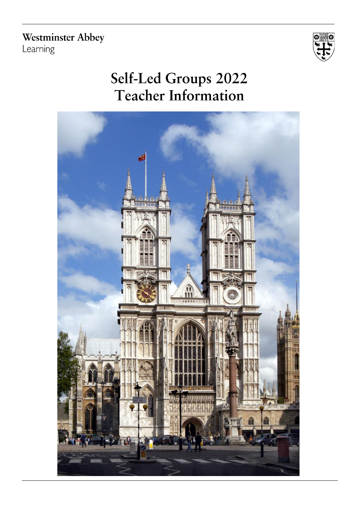**Westminster Abbey** Learning



# Self-Led Groups 2022 **Teacher Information**

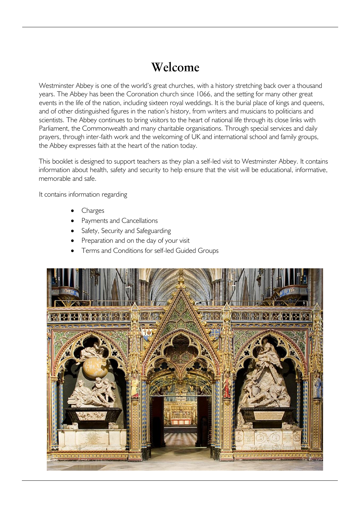## Welcome

Westminster Abbey is one of the world's great churches, with a history stretching back over a thousand years. The Abbey has been the Coronation church since 1066, and the setting for many other great events in the life of the nation, including sixteen royal weddings. It is the burial place of kings and queens, and of other distinguished figures in the nation's history, from writers and musicians to politicians and scientists. The Abbey continues to bring visitors to the heart of national life through its close links with Parliament, the Commonwealth and many charitable organisations. Through special services and daily prayers, through inter-faith work and the welcoming of UK and international school and family groups, the Abbey expresses faith at the heart of the nation today.

This booklet is designed to support teachers as they plan a self-led visit to Westminster Abbey. It contains information about health, safety and security to help ensure that the visit will be educational, informative, memorable and safe.

It contains information regarding

- **Charges**
- Payments and Cancellations
- Safety, Security and Safeguarding
- Preparation and on the day of your visit
- Terms and Conditions for self-led Guided Groups

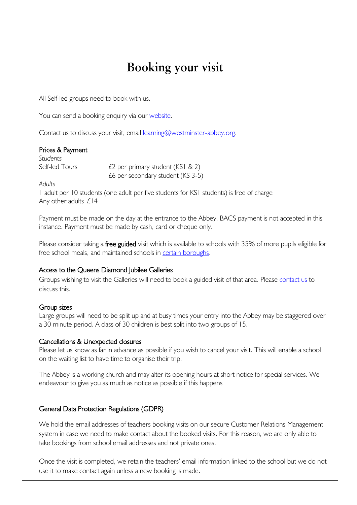## Booking your visit

All Self-led groups need to book with us.

You can send a booking enquiry via our [website.](https://portal.westminster-abbey.org/schools-self-led)

[Contact us](mailto:educationuk@westminster-abbey.org) to discuss your visit, email [learning@westminster-abbey.org.](mailto:learning@westminster-abbey.org)

| Prices & Payment |                                        |
|------------------|----------------------------------------|
| Students         |                                        |
| Self-led Tours   | £2 per primary student (KSI & 2)       |
|                  | $£6$ per secondary student ( $KS$ 3-5) |

*Adults*

1 adult per 10 students (one adult per five students for KS1 students) is free of charge Any other adults £14

Payment must be made on the day at the entrance to the Abbey. BACS payment is not accepted in this instance. Payment must be made by cash, card or cheque only.

Please consider taking a free guided visit which is available to schools with 35% of more pupils eligible for free school meals, and maintained schools in [certain boroughs.](https://www.westminster-abbey.org/learning/primary-schools)

### Access to the Queens Diamond Jubilee Galleries

Groups wishing to visit the Galleries will need to book a guided visit of that area. Please [contact us](mailto:learning@westminster-abbey.org?subject=Self-led%20visit%20to%20the%20Galleries) to discuss this.

### Group sizes

Large groups will need to be split up and at busy times your entry into the Abbey may be staggered over a 30 minute period. A class of 30 children is best split into two groups of 15.

### Cancellations & Unexpected closures

Please let us know as far in advance as possible if you wish to cancel your visit. This will enable a school on the waiting list to have time to organise their trip.

The Abbey is a working church and may alter its opening hours at short notice for special services. We endeavour to give you as much as notice as possible if this happens

### General Data Protection Regulations (GDPR)

We hold the email addresses of teachers booking visits on our secure Customer Relations Management system in case we need to make contact about the booked visits. For this reason, we are only able to take bookings from school email addresses and not private ones.

Once the visit is completed, we retain the teachers' email information linked to the school but we do not use it to make contact again unless a new booking is made.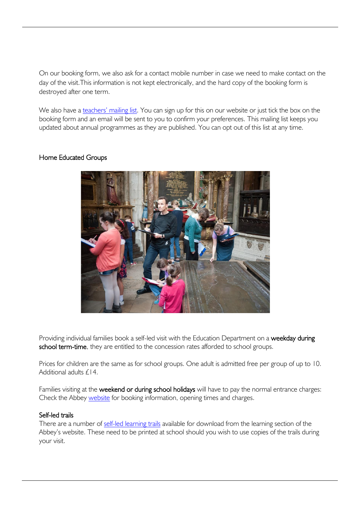On our booking form, we also ask for a contact mobile number in case we need to make contact on the day of the visit.This information is not kept electronically, and the hard copy of the booking form is destroyed after one term.

We also have a [teachers' mailing l](https://www.westminster-abbey.org/join-our-mailing-list)ist. You can sign up for this on our website or just tick the box on the booking form and an email will be sent to you to confirm your preferences. This mailing list keeps you updated about annual programmes as they are published. You can opt out of this list at any time.

## Home Educated Groups



Providing individual families book a self-led visit with the Education Department on a weekday during school term-time, they are entitled to the concession rates afforded to school groups.

Prices for children are the same as for school groups. One adult is admitted free per group of up to 10. Additional adults £14.

Families visiting at the weekend or during school holidays will have to pay the normal entrance charges: Check the Abbey [website](https://www.westminster-abbey.org/visit-us/prices-entry-times) for booking information, opening times and charges.

### Self-led trails

There are a number of self-led [learning](https://www.westminster-abbey.org/learning/trails-for-self-led-visits) trails available for download from the learning section of the Abbey's website. These need to be printed at school should you wish to use copies of the trails during your visit.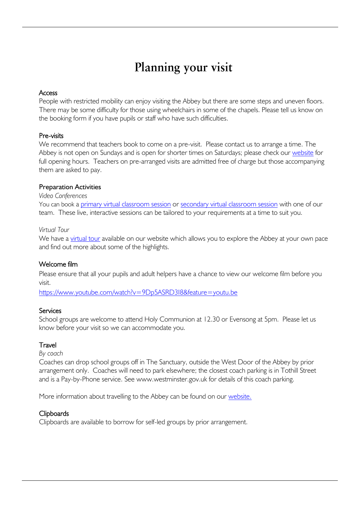## Planning your visit

### Access

People with restricted mobility can enjoy visiting the Abbey but there are some steps and uneven floors. There may be some difficulty for those using wheelchairs in some of the chapels. Please tell us know on the booking form if you have pupils or staff who have such difficulties.

## Pre-visits

We recommend that teachers book to come on a pre-visit. Please contact us to arrange a time. The Abbey is not open on Sundays and is open for shorter times on Saturdays; please check our [website](https://www.westminster-abbey.org/visit-us/prices-entry-times) for full opening hours. Teachers on pre-arranged visits are admitted free of charge but those accompanying them are asked to pay.

## Preparation Activities

#### *Video Conferences*

You can book a [primary virtual classroom session](https://www.westminster-abbey.org/learning/schools/primary/virtual-classrooms) or [secondary virtual classroom session](https://www.westminster-abbey.org/learning/schools/secondary/virtual-classrooms) with one of our team. These live, interactive sessions can be tailored to your requirements at a time to suit you.

### *Virtual Tour*

We have a [virtual tour](https://www.westminster-abbey.org/learning/virtual-tours) available on our website which allows you to explore the Abbey at your own pace and find out more about some of the highlights.

## Welcome film

Please ensure that all your pupils and adult helpers have a chance to view our welcome film before you visit.

<https://www.youtube.com/watch?v=9Dp5ASRD3I8&feature=youtu.be>

### **Services**

School groups are welcome to attend Holy Communion at 12.30 or Evensong at 5pm. Please let us know before your visit so we can accommodate you.

### **Travel**

*By coach*

Coaches can drop school groups off in The Sanctuary, outside the West Door of the Abbey by prior arrangement only. Coaches will need to park elsewhere; the closest coach parking is in Tothill Street and is a Pay-by-Phone service. See www.westminster.gov.uk for details of this coach parking.

More information about travelling to the Abbey can be found on our [website.](https://www.westminster-abbey.org/visit-us)

## **Clipboards**

Clipboards are available to borrow for self-led groups by prior arrangement.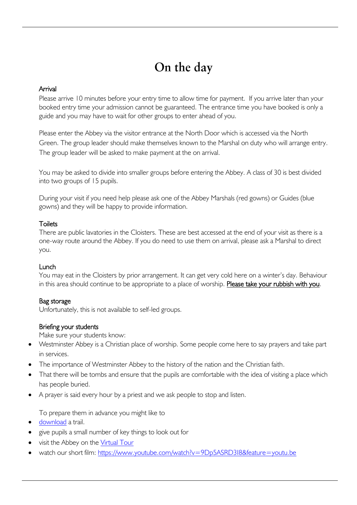## On the day

## Arrival

Please arrive 10 minutes before your entry time to allow time for payment. If you arrive later than your booked entry time your admission cannot be guaranteed. The entrance time you have booked is only a guide and you may have to wait for other groups to enter ahead of you.

Please enter the Abbey via the visitor entrance at the North Door which is accessed via the North Green. The group leader should make themselves known to the Marshal on duty who will arrange entry. The group leader will be asked to make payment at the on arrival.

You may be asked to divide into smaller groups before entering the Abbey. A class of 30 is best divided into two groups of 15 pupils.

During your visit if you need help please ask one of the Abbey Marshals (red gowns) or Guides (blue gowns) and they will be happy to provide information.

## **Toilets**

There are public lavatories in the Cloisters. These are best accessed at the end of your visit as there is a one-way route around the Abbey. If you do need to use them on arrival, please ask a Marshal to direct you.

## Lunch

You may eat in the Cloisters by prior arrangement. It can get very cold here on a winter's day. Behaviour in this area should continue to be appropriate to a place of worship. Please take your rubbish with you.

## Bag storage

Unfortunately, this is not available to self-led groups.

## Briefing your students

Make sure your students know:

- Westminster Abbey is a Christian place of worship. Some people come here to say prayers and take part in services.
- The importance of Westminster Abbey to the history of the nation and the Christian faith.
- That there will be tombs and ensure that the pupils are comfortable with the idea of visiting a place which has people buried.
- A prayer is said every hour by a priest and we ask people to stop and listen.

To prepare them in advance you might like to

- [download](https://www.westminster-abbey.org/learning/trails-for-self-led-visits) a trail.
- give pupils a small number of key things to look out for
- visit the Abbey on the [Virtual Tour](https://www.westminster-abbey.org/learning/virtual-tours)
- watch our short film:<https://www.youtube.com/watch?v=9Dp5ASRD3I8&feature=youtu.be>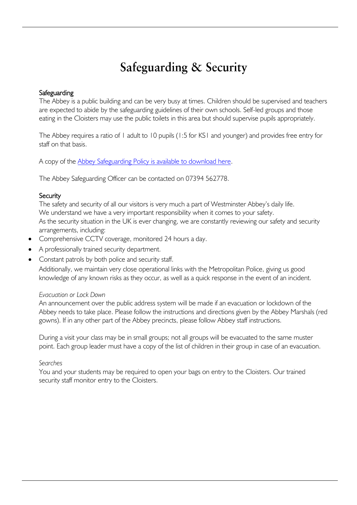## Safeguarding & Security

#### **Safeguarding**

The Abbey is a public building and can be very busy at times. Children should be supervised and teachers are expected to abide by the safeguarding guidelines of their own schools. Self-led groups and those eating in the Cloisters may use the public toilets in this area but should supervise pupils appropriately.

The Abbey requires a ratio of 1 adult to 10 pupils (1:5 for KS1 and younger) and provides free entry for staff on that basis.

A copy of the [Abbey Safeguarding Policy is available to download here.](https://www.westminster-abbey.org/about-the-abbey/safeguarding)

The Abbey Safeguarding Officer can be contacted on 07394 562778.

#### **Security**

The safety and security of all our visitors is very much a part of Westminster Abbey's daily life. We understand we have a very important responsibility when it comes to your safety. As the security situation in the UK is ever changing, we are constantly reviewing our safety and security arrangements, including:

- Comprehensive CCTV coverage, monitored 24 hours a day.
- A professionally trained security department.
- Constant patrols by both police and security staff.

Additionally, we maintain very close operational links with the Metropolitan Police, giving us good knowledge of any known risks as they occur, as well as a quick response in the event of an incident.

#### *Evacuation or Lock Down*

An announcement over the public address system will be made if an evacuation or lockdown of the Abbey needs to take place. Please follow the instructions and directions given by the Abbey Marshals (red gowns). If in any other part of the Abbey precincts, please follow Abbey staff instructions.

During a visit your class may be in small groups; not all groups will be evacuated to the same muster point. Each group leader must have a copy of the list of children in their group in case of an evacuation.

#### *Searches*

You and your students may be required to open your bags on entry to the Cloisters. Our trained security staff monitor entry to the Cloisters.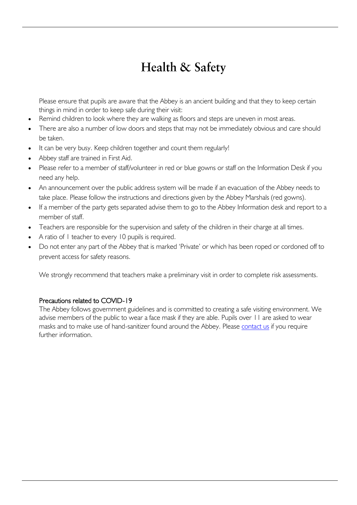## **Health & Safety**

Please ensure that pupils are aware that the Abbey is an ancient building and that they to keep certain things in mind in order to keep safe during their visit:

- Remind children to look where they are walking as floors and steps are uneven in most areas.
- There are also a number of low doors and steps that may not be immediately obvious and care should be taken.
- It can be very busy. Keep children together and count them regularly!
- Abbey staff are trained in First Aid.
- Please refer to a member of staff/volunteer in red or blue gowns or staff on the Information Desk if you need any help.
- An announcement over the public address system will be made if an evacuation of the Abbey needs to take place. Please follow the instructions and directions given by the Abbey Marshals (red gowns).
- If a member of the party gets separated advise them to go to the Abbey Information desk and report to a member of staff.
- Teachers are responsible for the supervision and safety of the children in their charge at all times.
- A ratio of 1 teacher to every 10 pupils is required.
- Do not enter any part of the Abbey that is marked 'Private' or which has been roped or cordoned off to prevent access for safety reasons.

We strongly recommend that teachers make a preliminary visit in order to complete risk assessments.

### Precautions related to COVID-19

The Abbey follows government guidelines and is committed to creating a safe visiting environment. We advise members of the public to wear a face mask if they are able. Pupils over 11 are asked to wear masks and to make use of hand-sanitizer found around the Abbey. Please [contact us](mailto:learning@westminster-abbey.org?subject=COVID-19%20related%20query) if you require further information.